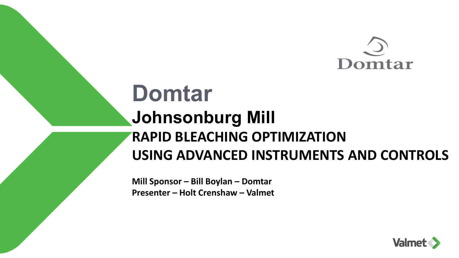

## **Domtar Johnsonburg Mill RAPID BLEACHING OPTIMIZATION USING ADVANCED INSTRUMENTS AND CONTROLS**

**Mill Sponsor – Bill Boylan – Domtar Presenter – Holt Crenshaw – Valmet** 

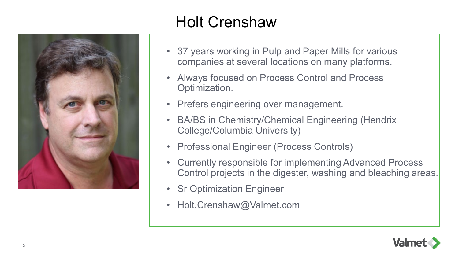

## Holt Crenshaw

- 37 years working in Pulp and Paper Mills for various companies at several locations on many platforms.
- Always focused on Process Control and Process Optimization.
- Prefers engineering over management.
- BA/BS in Chemistry/Chemical Engineering (Hendrix College/Columbia University)
- Professional Engineer (Process Controls)
- Currently responsible for implementing Advanced Process Control projects in the digester, washing and bleaching areas.
- Sr Optimization Engineer
- Holt.Crenshaw@Valmet.com

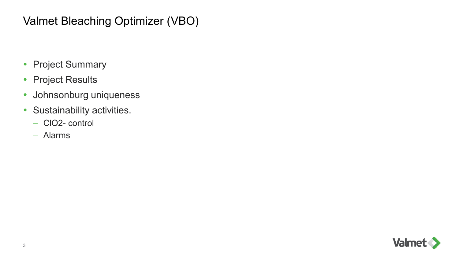#### Valmet Bleaching Optimizer (VBO)

- Project Summary
- Project Results
- Johnsonburg uniqueness
- Sustainability activities.
	- ClO2- control
	- Alarms

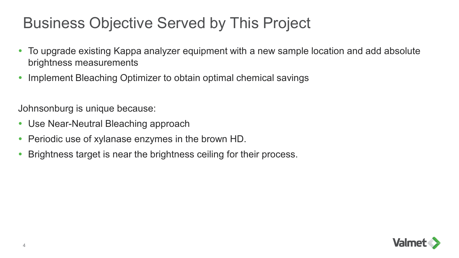### Business Objective Served by This Project

- To upgrade existing Kappa analyzer equipment with a new sample location and add absolute brightness measurements
- Implement Bleaching Optimizer to obtain optimal chemical savings

Johnsonburg is unique because:

- Use Near-Neutral Bleaching approach
- Periodic use of xylanase enzymes in the brown HD.
- Brightness target is near the brightness ceiling for their process.

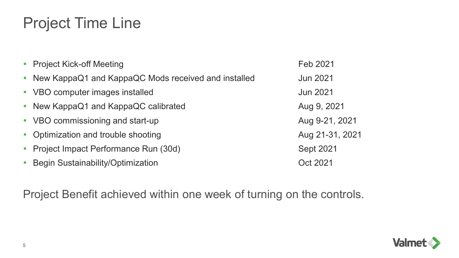### Project Time Line

| • Project Kick-off Meeting                            | Feb 2021         |
|-------------------------------------------------------|------------------|
| • New KappaQ1 and KappaQC Mods received and installed | <b>Jun 2021</b>  |
| • VBO computer images installed                       | <b>Jun 2021</b>  |
| • New KappaQ1 and KappaQC calibrated                  | Aug 9, 2021      |
| • VBO commissioning and start-up                      | Aug 9-21, 2021   |
| • Optimization and trouble shooting                   | Aug 21-31, 2021  |
| • Project Impact Performance Run (30d)                | <b>Sept 2021</b> |
| <b>Begin Sustainability/Optimization</b>              | Oct 2021         |

Project Benefit achieved within one week of turning on the controls.

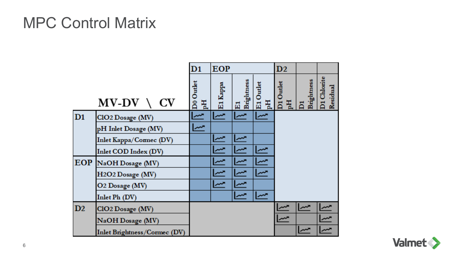#### MPC Control Matrix

|    |                                           | $\mathbf{D1}$  | <b>EOP</b> |                  |                | D2              |                 |                         |
|----|-------------------------------------------|----------------|------------|------------------|----------------|-----------------|-----------------|-------------------------|
|    | $MV-DV \setminus CV$                      | D0 Outlet<br>핈 | E1 Kappe   | E1<br>Brightness | E1 Outlet<br>핈 | D1 Outlet<br>pH | Brightness<br>δ | D1 Chlorite<br>Residual |
| D1 | CIO2 Dosage (MV)                          |                |            |                  |                |                 |                 |                         |
|    | pH Inlet Dosage (MV)                      | ᄴ              |            |                  |                |                 |                 |                         |
|    | Inlet Kappa/Connec (DV)                   |                | سر         | سر               |                |                 |                 |                         |
|    | Inlet COD Index (DV)                      |                |            |                  |                |                 |                 |                         |
|    | EOP NaOH Dosage (MV)                      |                |            |                  |                |                 |                 |                         |
|    | H <sub>2</sub> O <sub>2</sub> Dosage (MV) |                |            |                  |                |                 |                 |                         |
|    | O2 Dosage (MV)                            |                |            |                  |                |                 |                 |                         |
|    | Inlet Ph (DV)                             |                |            |                  |                |                 |                 |                         |
| D2 | CIO2 Dosage (MV)                          |                |            |                  |                |                 |                 |                         |
|    | NaOH Dosage (MV)                          |                |            |                  |                |                 |                 |                         |
|    | Inlet Brightness/Cormec (DV)              |                |            |                  |                |                 |                 |                         |

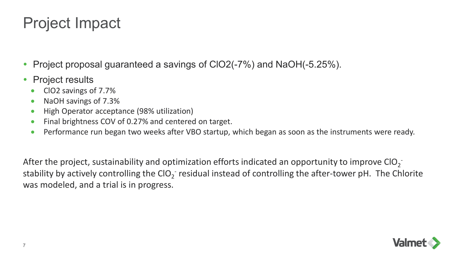#### Project Impact

- Project proposal guaranteed a savings of ClO2(-7%) and NaOH(-5.25%).
- Project results
	- ClO2 savings of 7.7%
	- NaOH savings of 7.3%
	- High Operator acceptance (98% utilization)
	- Final brightness COV of 0.27% and centered on target.
	- Performance run began two weeks after VBO startup, which began as soon as the instruments were ready.

After the project, sustainability and optimization efforts indicated an opportunity to improve ClO<sub>2</sub><sup>-</sup> stability by actively controlling the ClO<sub>2</sub><sup>-</sup> residual instead of controlling the after-tower pH. The Chlorite was modeled, and a trial is in progress.

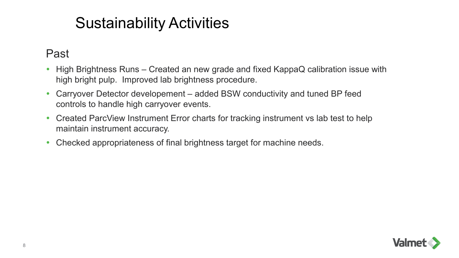#### Sustainability Activities

#### Past

- High Brightness Runs Created an new grade and fixed KappaQ calibration issue with high bright pulp. Improved lab brightness procedure.
- Carryover Detector developement added BSW conductivity and tuned BP feed controls to handle high carryover events.
- Created ParcView Instrument Error charts for tracking instrument vs lab test to help maintain instrument accuracy.
- Checked appropriateness of final brightness target for machine needs.

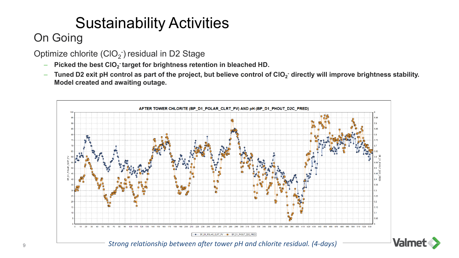## Sustainability Activities

#### On Going

Optimize chlorite  $\left( \text{ClO}_2 \right)$  residual in D2 Stage

- $-$  Picked the best CIO<sub>2</sub><sup>-</sup>target for brightness retention in bleached HD.
- $-$  Tuned D2 exit pH control as part of the project, but believe control of CIO<sub>2</sub><sup>-</sup> directly will improve brightness stability. **Model created and awaiting outage.**

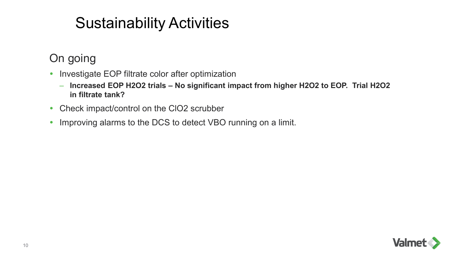### Sustainability Activities

On going

- Investigate EOP filtrate color after optimization
	- **Increased EOP H2O2 trials – No significant impact from higher H2O2 to EOP. Trial H2O2 in filtrate tank?**
- Check impact/control on the CIO2 scrubber
- Improving alarms to the DCS to detect VBO running on a limit.